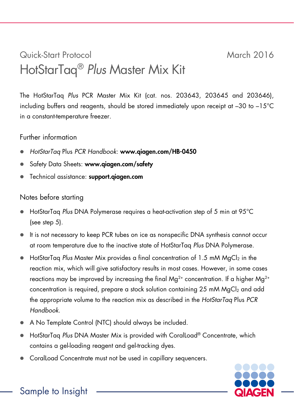## Quick-Start Protocol March 2016 HotStarTaq® *Plus* Master Mix Kit

The HotStarTaq *Plus* PCR Master Mix Kit (cat. nos. 203643, 203645 and 203646), including buffers and reagents, should be stored immediately upon receipt at –30 to –15°C in a constant-temperature freezer.

## Further information

- *HotStarTaq* Plus *PCR Handbook*: www.qiagen.com/HB-0450
- Safety Data Sheets: www.giagen.com/safety
- Technical assistance: support.qiagen.com

## Notes before starting

- HotStarTaq *Plus* DNA Polymerase requires a heat-activation step of 5 min at 95°C (see step 5).
- It is not necessary to keep PCR tubes on ice as nonspecific DNA synthesis cannot occur at room temperature due to the inactive state of HotStarTaq *Plus* DNA Polymerase.
- HotStarTag *Plus* Master Mix provides a final concentration of 1.5 mM MgCl<sub>2</sub> in the reaction mix, which will give satisfactory results in most cases. However, in some cases reactions may be improved by increasing the final  $Ma^{2+}$  concentration. If a higher Ma<sup>2+</sup> concentration is required, prepare a stock solution containing 25 mM  $MqCl<sub>2</sub>$  and add the appropriate volume to the reaction mix as described in the *HotStarTaq* Plus *PCR Handbook*.
- A No Template Control (NTC) should always be included.
- HotStarTaq *Plus* DNA Master Mix is provided with CoralLoad® Concentrate, which contains a gel-loading reagent and gel-tracking dyes.
- CoralLoad Concentrate must not be used in capillary sequencers.

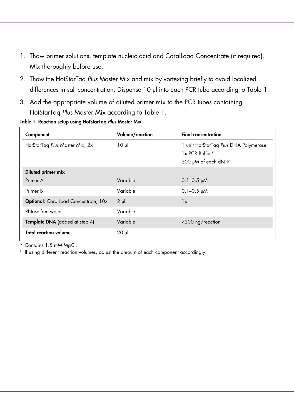- 1. Thaw primer solutions, template nucleic acid and CoralLoad Concentrate (if required). Mix thoroughly before use.
- 2. Thaw the HotStarTaq *Plus* Master Mix and mix by vortexing briefly to avoid localized differences in salt concentration. Dispense 10 µl into each PCR tube according to Table 1.
- 3. Add the appropriate volume of diluted primer mix to the PCR tubes containing HotStarTaq *Plus* Master Mix according to Table 1.

Table 1. Reaction setup using HotStarTaq *Plus* Master Mix

| 1 unit HotStarTag Plus DNA Polymerase |
|---------------------------------------|
|                                       |
|                                       |
|                                       |
|                                       |
|                                       |
|                                       |
|                                       |
|                                       |
|                                       |
|                                       |

 $*$  Contains 1.5 mM MgCl<sub>2</sub>.

† If using different reaction volumes, adjust the amount of each component accordingly.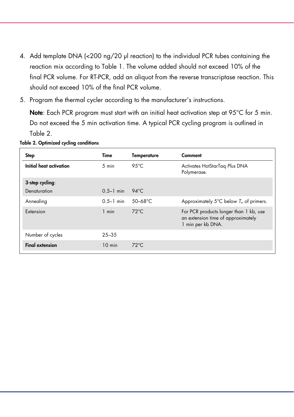- 4. Add template DNA (<200 ng/20 µl reaction) to the individual PCR tubes containing the reaction mix according to Table 1. The volume added should not exceed 10% of the final PCR volume. For RT-PCR, add an aliquot from the reverse transcriptase reaction. This should not exceed 10% of the final PCR volume.
- 5. Program the thermal cycler according to the manufacturer's instructions.

Note: Each PCR program must start with an initial heat activation step at 95°C for 5 min. Do not exceed the 5 min activation time. A typical PCR cycling program is outlined in Table 2.

Table 2. Optimized cycling conditions

| <b>Step</b>             | Time             | Temperature        | Comment                                                                                           |
|-------------------------|------------------|--------------------|---------------------------------------------------------------------------------------------------|
| Initial heat activation | $5 \text{ min}$  | 95 $°C$            | Activates HotStarTag Plus DNA<br>Polymerase.                                                      |
| 3-step cycling:         |                  |                    |                                                                                                   |
| Denaturation            | $0.5 - 1$ min    | 94 $\degree$ C     |                                                                                                   |
| Annealing               | $0.5 - 1$ min    | 50-68 $^{\circ}$ C | Approximately 5 $\degree$ C below $T_m$ of primers.                                               |
| Extension               | 1 min            | $72^{\circ}$ C     | For PCR products longer than 1 kb, use<br>an extension time of approximately<br>1 min per kb DNA. |
| Number of cycles        | $25 - 35$        |                    |                                                                                                   |
| <b>Final extension</b>  | $10 \text{ min}$ | $72^{\circ}$ C     |                                                                                                   |